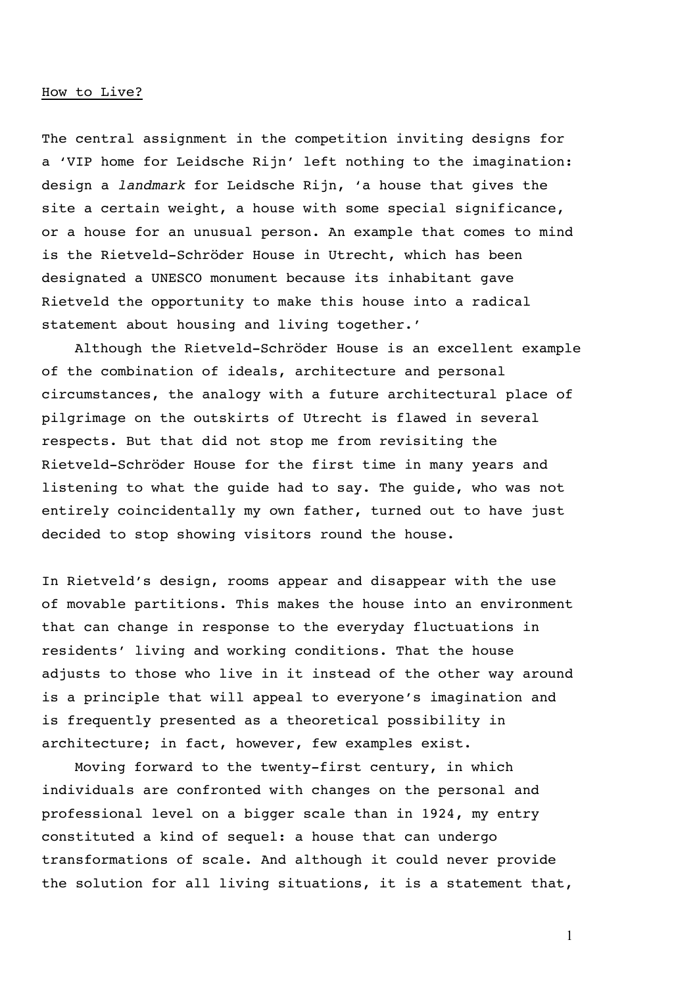## How to Live?

The central assignment in the competition inviting designs for a 'VIP home for Leidsche Rijn' left nothing to the imagination: design a *landmark* for Leidsche Rijn, 'a house that gives the site a certain weight, a house with some special significance, or a house for an unusual person. An example that comes to mind is the Rietveld-Schröder House in Utrecht, which has been designated a UNESCO monument because its inhabitant gave Rietveld the opportunity to make this house into a radical statement about housing and living together.'

Although the Rietveld-Schröder House is an excellent example of the combination of ideals, architecture and personal circumstances, the analogy with a future architectural place of pilgrimage on the outskirts of Utrecht is flawed in several respects. But that did not stop me from revisiting the Rietveld-Schröder House for the first time in many years and listening to what the guide had to say. The guide, who was not entirely coincidentally my own father, turned out to have just decided to stop showing visitors round the house.

In Rietveld's design, rooms appear and disappear with the use of movable partitions. This makes the house into an environment that can change in response to the everyday fluctuations in residents' living and working conditions. That the house adjusts to those who live in it instead of the other way around is a principle that will appeal to everyone's imagination and is frequently presented as a theoretical possibility in architecture; in fact, however, few examples exist.

Moving forward to the twenty-first century, in which individuals are confronted with changes on the personal and professional level on a bigger scale than in 1924, my entry constituted a kind of sequel: a house that can undergo transformations of scale. And although it could never provide the solution for all living situations, it is a statement that,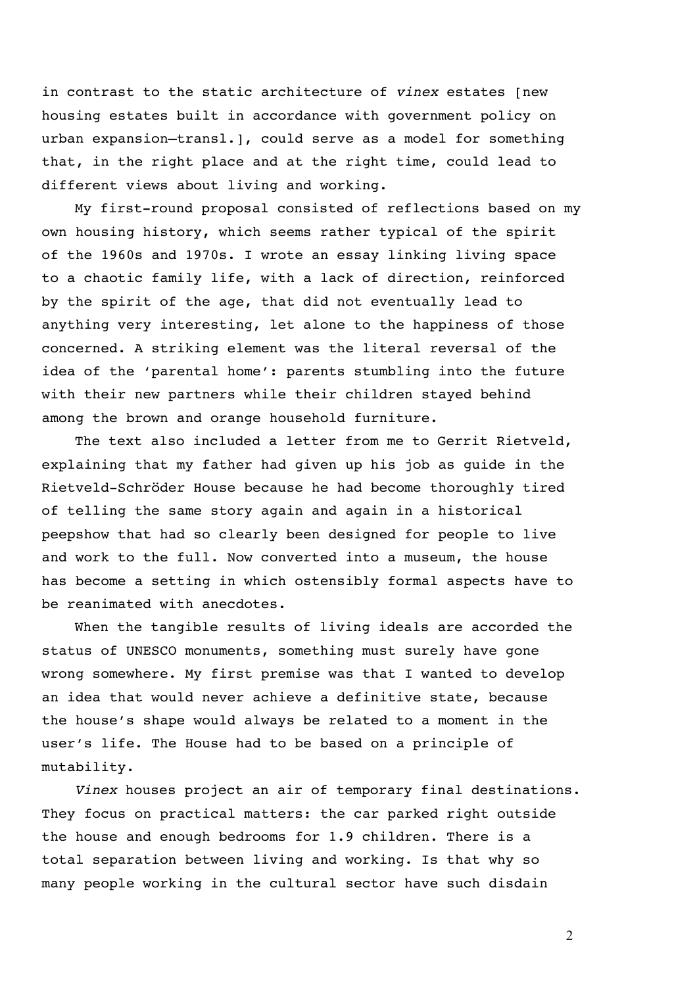in contrast to the static architecture of *vinex* estates [new housing estates built in accordance with government policy on urban expansion—transl.], could serve as a model for something that, in the right place and at the right time, could lead to different views about living and working.

My first-round proposal consisted of reflections based on my own housing history, which seems rather typical of the spirit of the 1960s and 1970s. I wrote an essay linking living space to a chaotic family life, with a lack of direction, reinforced by the spirit of the age, that did not eventually lead to anything very interesting, let alone to the happiness of those concerned. A striking element was the literal reversal of the idea of the 'parental home': parents stumbling into the future with their new partners while their children stayed behind among the brown and orange household furniture.

The text also included a letter from me to Gerrit Rietveld, explaining that my father had given up his job as guide in the Rietveld-Schröder House because he had become thoroughly tired of telling the same story again and again in a historical peepshow that had so clearly been designed for people to live and work to the full. Now converted into a museum, the house has become a setting in which ostensibly formal aspects have to be reanimated with anecdotes.

When the tangible results of living ideals are accorded the status of UNESCO monuments, something must surely have gone wrong somewhere. My first premise was that I wanted to develop an idea that would never achieve a definitive state, because the house's shape would always be related to a moment in the user's life. The House had to be based on a principle of mutability.

*Vinex* houses project an air of temporary final destinations. They focus on practical matters: the car parked right outside the house and enough bedrooms for 1.9 children. There is a total separation between living and working. Is that why so many people working in the cultural sector have such disdain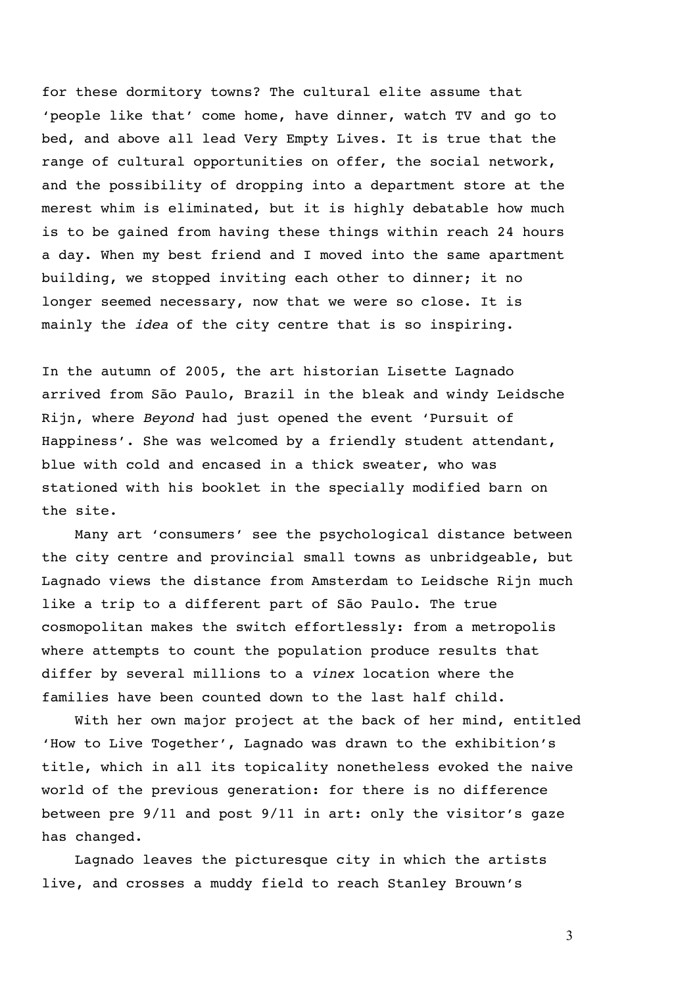for these dormitory towns? The cultural elite assume that 'people like that' come home, have dinner, watch TV and go to bed, and above all lead Very Empty Lives. It is true that the range of cultural opportunities on offer, the social network, and the possibility of dropping into a department store at the merest whim is eliminated, but it is highly debatable how much is to be gained from having these things within reach 24 hours a day. When my best friend and I moved into the same apartment building, we stopped inviting each other to dinner; it no longer seemed necessary, now that we were so close. It is mainly the *idea* of the city centre that is so inspiring.

In the autumn of 2005, the art historian Lisette Lagnado arrived from São Paulo, Brazil in the bleak and windy Leidsche Rijn, where *Beyond* had just opened the event 'Pursuit of Happiness'. She was welcomed by a friendly student attendant, blue with cold and encased in a thick sweater, who was stationed with his booklet in the specially modified barn on the site.

Many art 'consumers' see the psychological distance between the city centre and provincial small towns as unbridgeable, but Lagnado views the distance from Amsterdam to Leidsche Rijn much like a trip to a different part of São Paulo. The true cosmopolitan makes the switch effortlessly: from a metropolis where attempts to count the population produce results that differ by several millions to a *vinex* location where the families have been counted down to the last half child.

With her own major project at the back of her mind, entitled 'How to Live Together', Lagnado was drawn to the exhibition's title, which in all its topicality nonetheless evoked the naive world of the previous generation: for there is no difference between pre 9/11 and post 9/11 in art: only the visitor's gaze has changed.

Lagnado leaves the picturesque city in which the artists live, and crosses a muddy field to reach Stanley Brouwn's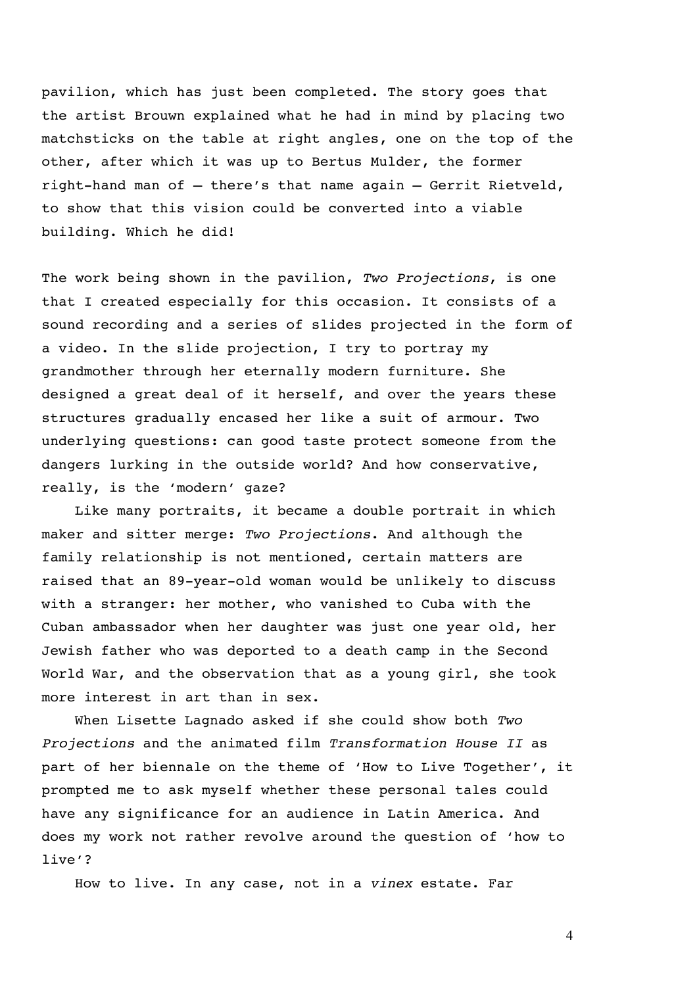pavilion, which has just been completed. The story goes that the artist Brouwn explained what he had in mind by placing two matchsticks on the table at right angles, one on the top of the other, after which it was up to Bertus Mulder, the former right-hand man of – there's that name again – Gerrit Rietveld, to show that this vision could be converted into a viable building. Which he did!

The work being shown in the pavilion, *Two Projections*, is one that I created especially for this occasion. It consists of a sound recording and a series of slides projected in the form of a video. In the slide projection, I try to portray my grandmother through her eternally modern furniture. She designed a great deal of it herself, and over the years these structures gradually encased her like a suit of armour. Two underlying questions: can good taste protect someone from the dangers lurking in the outside world? And how conservative, really, is the 'modern' gaze?

Like many portraits, it became a double portrait in which maker and sitter merge: *Two Projections*. And although the family relationship is not mentioned, certain matters are raised that an 89-year-old woman would be unlikely to discuss with a stranger: her mother, who vanished to Cuba with the Cuban ambassador when her daughter was just one year old, her Jewish father who was deported to a death camp in the Second World War, and the observation that as a young girl, she took more interest in art than in sex.

When Lisette Lagnado asked if she could show both *Two Projections* and the animated film *Transformation House II* as part of her biennale on the theme of 'How to Live Together', it prompted me to ask myself whether these personal tales could have any significance for an audience in Latin America. And does my work not rather revolve around the question of 'how to live'?

How to live. In any case, not in a *vinex* estate. Far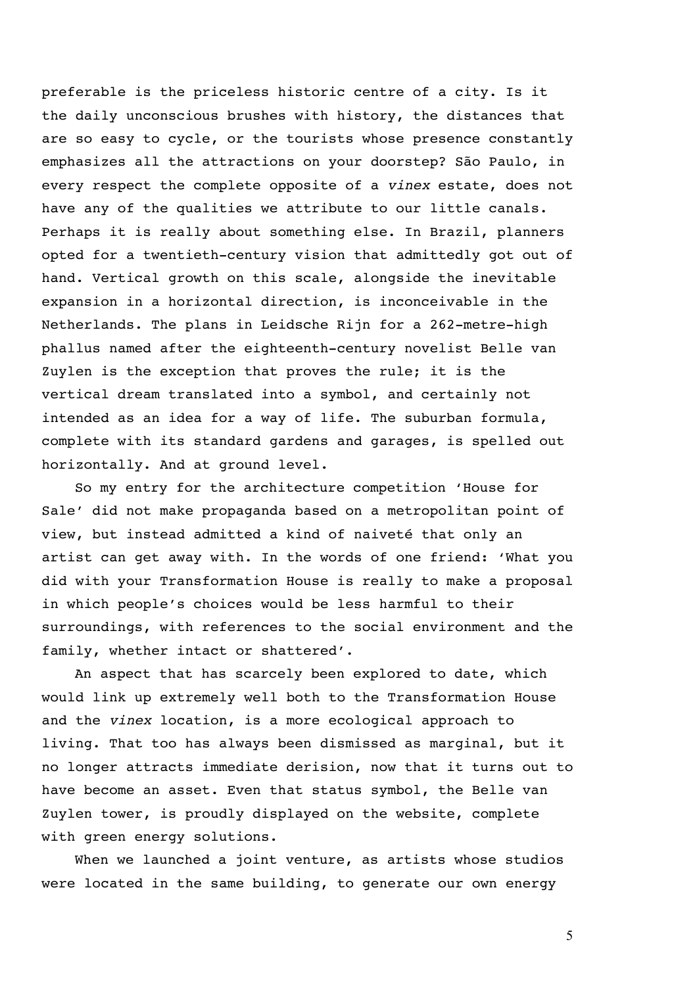preferable is the priceless historic centre of a city. Is it the daily unconscious brushes with history, the distances that are so easy to cycle, or the tourists whose presence constantly emphasizes all the attractions on your doorstep? São Paulo, in every respect the complete opposite of a *vinex* estate, does not have any of the qualities we attribute to our little canals. Perhaps it is really about something else. In Brazil, planners opted for a twentieth-century vision that admittedly got out of hand. Vertical growth on this scale, alongside the inevitable expansion in a horizontal direction, is inconceivable in the Netherlands. The plans in Leidsche Rijn for a 262-metre-high phallus named after the eighteenth-century novelist Belle van Zuylen is the exception that proves the rule; it is the vertical dream translated into a symbol, and certainly not intended as an idea for a way of life. The suburban formula, complete with its standard gardens and garages, is spelled out horizontally. And at ground level.

So my entry for the architecture competition 'House for Sale' did not make propaganda based on a metropolitan point of view, but instead admitted a kind of naiveté that only an artist can get away with. In the words of one friend: 'What you did with your Transformation House is really to make a proposal in which people's choices would be less harmful to their surroundings, with references to the social environment and the family, whether intact or shattered'.

An aspect that has scarcely been explored to date, which would link up extremely well both to the Transformation House and the *vinex* location, is a more ecological approach to living. That too has always been dismissed as marginal, but it no longer attracts immediate derision, now that it turns out to have become an asset. Even that status symbol, the Belle van Zuylen tower, is proudly displayed on the website, complete with green energy solutions.

When we launched a joint venture, as artists whose studios were located in the same building, to generate our own energy